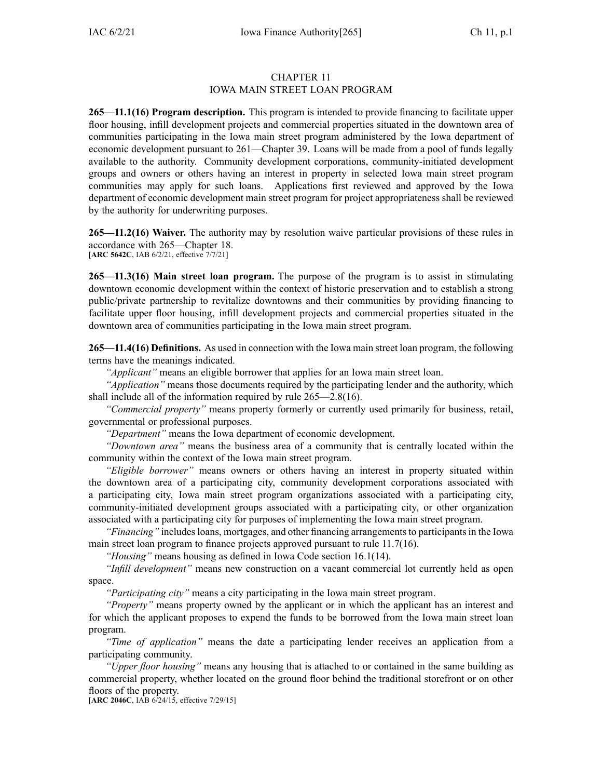## CHAPTER 11 IOWA MAIN STREET LOAN PROGRAM

**265—11.1(16) Program description.** This program is intended to provide financing to facilitate upper floor housing, infill development projects and commercial properties situated in the downtown area of communities participating in the Iowa main street program administered by the Iowa department of economic development pursuan<sup>t</sup> to [261—Chapter](https://www.legis.iowa.gov/docs/iac/chapter/261.39.pdf) 39. Loans will be made from <sup>a</sup> pool of funds legally available to the authority. Community development corporations, community-initiated development groups and owners or others having an interest in property in selected Iowa main street program communities may apply for such loans. Applications first reviewed and approved by the Iowa department of economic development main street program for project appropriateness shall be reviewed by the authority for underwriting purposes.

**265—11.2(16) Waiver.** The authority may by resolution waive particular provisions of these rules in accordance with [265—Chapter](https://www.legis.iowa.gov/docs/iac/chapter/265.18.pdf) 18. [**ARC [5642C](https://www.legis.iowa.gov/docs/aco/arc/5642C.pdf)**, IAB 6/2/21, effective 7/7/21]

**265—11.3(16) Main street loan program.** The purpose of the program is to assist in stimulating downtown economic development within the context of historic preservation and to establish <sup>a</sup> strong public/private partnership to revitalize downtowns and their communities by providing financing to facilitate upper floor housing, infill development projects and commercial properties situated in the downtown area of communities participating in the Iowa main street program.

**265—11.4(16) Definitions.** As used in connection with the Iowa main street loan program, the following terms have the meanings indicated.

*"Applicant"* means an eligible borrower that applies for an Iowa main street loan.

*"Application"* means those documents required by the participating lender and the authority, which shall include all of the information required by rule [265—2.8](https://www.legis.iowa.gov/docs/iac/rule/265.2.8.pdf)(16).

*"Commercial property"* means property formerly or currently used primarily for business, retail, governmental or professional purposes.

*"Department"* means the Iowa department of economic development.

*"Downtown area"* means the business area of <sup>a</sup> community that is centrally located within the community within the context of the Iowa main street program.

*"Eligible borrower"* means owners or others having an interest in property situated within the downtown area of <sup>a</sup> participating city, community development corporations associated with <sup>a</sup> participating city, Iowa main street program organizations associated with <sup>a</sup> participating city, community-initiated development groups associated with <sup>a</sup> participating city, or other organization associated with <sup>a</sup> participating city for purposes of implementing the Iowa main street program.

*"Financing"* includes loans, mortgages, and other financing arrangements to participants in the Iowa main street loan program to finance projects approved pursuan<sup>t</sup> to rule [11.7](https://www.legis.iowa.gov/docs/iac/rule/265.11.7.pdf)(16).

*"Housing"* means housing as defined in Iowa Code section [16.1\(14\)](https://www.legis.iowa.gov/docs/ico/section/16.1.pdf).

*"Infill development"* means new construction on <sup>a</sup> vacant commercial lot currently held as open space.

*"Participating city"* means <sup>a</sup> city participating in the Iowa main street program.

*"Property"* means property owned by the applicant or in which the applicant has an interest and for which the applicant proposes to expend the funds to be borrowed from the Iowa main street loan program.

*"Time of application"* means the date <sup>a</sup> participating lender receives an application from <sup>a</sup> participating community.

*"Upper floor housing"* means any housing that is attached to or contained in the same building as commercial property, whether located on the ground floor behind the traditional storefront or on other floors of the property.

[**ARC [2046C](https://www.legis.iowa.gov/docs/aco/arc/2046C.pdf)**, IAB 6/24/15, effective 7/29/15]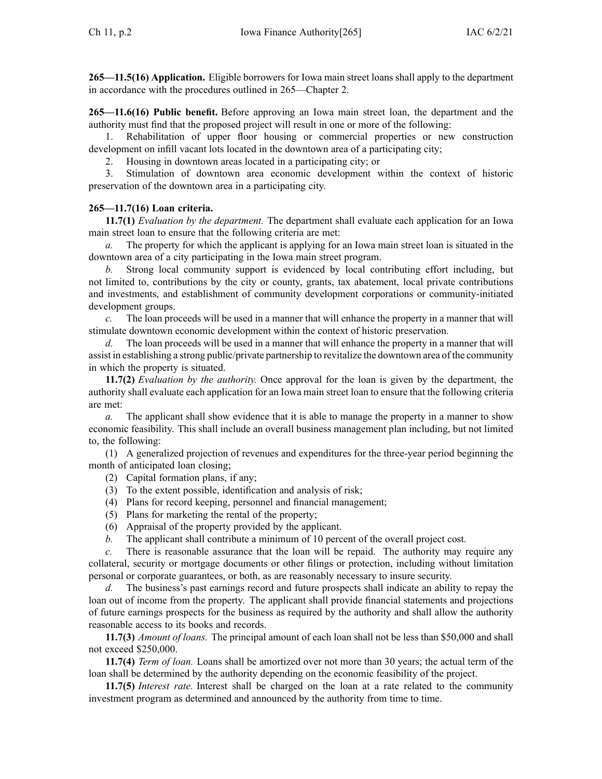**265—11.5(16) Application.** Eligible borrowers for Iowa main street loans shall apply to the department in accordance with the procedures outlined in [265—Chapter](https://www.legis.iowa.gov/docs/iac/chapter/265.2.pdf) 2.

**265—11.6(16) Public benefit.** Before approving an Iowa main street loan, the department and the authority must find that the proposed project will result in one or more of the following:

1. Rehabilitation of upper floor housing or commercial properties or new construction development on infill vacant lots located in the downtown area of <sup>a</sup> participating city;

2. Housing in downtown areas located in <sup>a</sup> participating city; or

3. Stimulation of downtown area economic development within the context of historic preservation of the downtown area in <sup>a</sup> participating city.

## **265—11.7(16) Loan criteria.**

**11.7(1)** *Evaluation by the department.* The department shall evaluate each application for an Iowa main street loan to ensure that the following criteria are met:

*a.* The property for which the applicant is applying for an Iowa main street loan is situated in the downtown area of <sup>a</sup> city participating in the Iowa main street program.

*b.* Strong local community suppor<sup>t</sup> is evidenced by local contributing effort including, but not limited to, contributions by the city or county, grants, tax abatement, local private contributions and investments, and establishment of community development corporations or community-initiated development groups.

*c.* The loan proceeds will be used in <sup>a</sup> manner that will enhance the property in <sup>a</sup> manner that will stimulate downtown economic development within the context of historic preservation.

*d.* The loan proceeds will be used in <sup>a</sup> manner that will enhance the property in <sup>a</sup> manner that will assist in establishing <sup>a</sup> strong public/private partnership to revitalize the downtown area of the community in which the property is situated.

**11.7(2)** *Evaluation by the authority.* Once approval for the loan is given by the department, the authority shall evaluate each application for an Iowa main street loan to ensure that the following criteria are met:

*a.* The applicant shall show evidence that it is able to manage the property in <sup>a</sup> manner to show economic feasibility. This shall include an overall business managemen<sup>t</sup> plan including, but not limited to, the following:

(1) A generalized projection of revenues and expenditures for the three-year period beginning the month of anticipated loan closing;

- (2) Capital formation plans, if any;
- (3) To the extent possible, identification and analysis of risk;
- (4) Plans for record keeping, personnel and financial management;
- (5) Plans for marketing the rental of the property;
- (6) Appraisal of the property provided by the applicant.
- *b.* The applicant shall contribute <sup>a</sup> minimum of 10 percen<sup>t</sup> of the overall project cost.

*c.* There is reasonable assurance that the loan will be repaid. The authority may require any collateral, security or mortgage documents or other filings or protection, including without limitation personal or corporate guarantees, or both, as are reasonably necessary to insure security.

*d.* The business's pas<sup>t</sup> earnings record and future prospects shall indicate an ability to repay the loan out of income from the property. The applicant shall provide financial statements and projections of future earnings prospects for the business as required by the authority and shall allow the authority reasonable access to its books and records.

**11.7(3)** *Amount of loans.* The principal amount of each loan shall not be less than \$50,000 and shall not exceed \$250,000.

**11.7(4)** *Term of loan.* Loans shall be amortized over not more than 30 years; the actual term of the loan shall be determined by the authority depending on the economic feasibility of the project.

**11.7(5)** *Interest rate.* Interest shall be charged on the loan at <sup>a</sup> rate related to the community investment program as determined and announced by the authority from time to time.